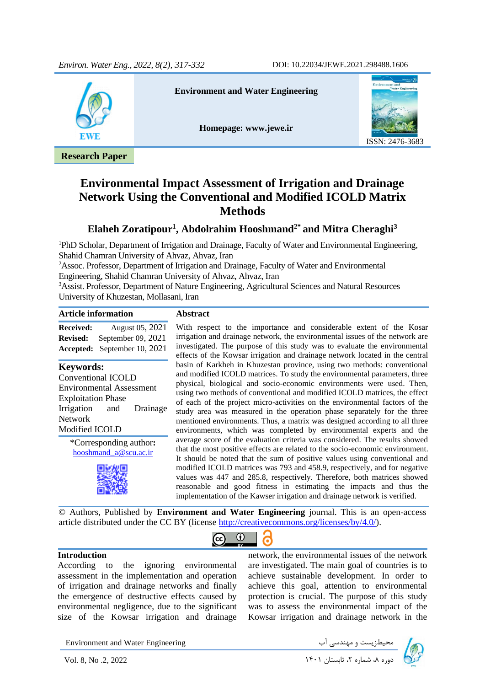

**Environmental Impact Assessment of Irrigation and Drainage Network Using the Conventional and Modified ICOLD Matrix Methods**

## **Elaheh Zoratipour<sup>1</sup> , Abdolrahim Hooshmand2\* and Mitra Cheraghi<sup>3</sup>**

<sup>1</sup>PhD Scholar, Department of Irrigation and Drainage, Faculty of Water and Environmental Engineering, Shahid Chamran University of Ahvaz, Ahvaz, Iran

<sup>2</sup>Assoc. Professor, Department of Irrigation and Drainage, Faculty of Water and Environmental Engineering, Shahid Chamran University of Ahvaz, Ahvaz, Iran

<sup>3</sup>Assist. Professor, Department of Nature Engineering, Agricultural Sciences and Natural Resources University of Khuzestan, Mollasani, Iran

#### **Article information Abstract**

**Received:** August 05, 2021 **Revised:** September 09, 2021 **Accepted:** September 10, 2021

#### **Keywords:**

Conventional ICOLD Environmental Assessment Exploitation Phase Irrigation and Drainage Network Modified ICOLD

> \*Corresponding author**:** [hooshmand\\_a@scu.ac.ir](mailto:hooshmand_a@scu.ac.ir)



With respect to the importance and considerable extent of the Kosar irrigation and drainage network, the environmental issues of the network are investigated. The purpose of this study was to evaluate the environmental effects of the Kowsar irrigation and drainage network located in the central basin of Karkheh in Khuzestan province, using two methods: conventional and modified ICOLD matrices. To study the environmental parameters, three physical, biological and socio-economic environments were used. Then, using two methods of conventional and modified ICOLD matrices, the effect of each of the project micro-activities on the environmental factors of the study area was measured in the operation phase separately for the three mentioned environments. Thus, a matrix was designed according to all three environments, which was completed by environmental experts and the average score of the evaluation criteria was considered. The results showed that the most positive effects are related to the socio-economic environment. It should be noted that the sum of positive values using conventional and modified ICOLD matrices was 793 and 458.9, respectively, and for negative values was 447 and 285.8, respectively. Therefore, both matrices showed reasonable and good fitness in estimating the impacts and thus the implementation of the Kawser irrigation and drainage network is verified.

© Authors, Published by **Environment and Water Engineering** journal. This is an open-access article distributed under the CC BY (license [http://creativecommons.org/licenses/by/4.0/\)](http://creativecommons.org/licenses/by/4.0/).



#### **Introduction**

According to the ignoring environmental assessment in the implementation and operation of irrigation and drainage networks and finally the emergence of destructive effects caused by environmental negligence, due to the significant size of the Kowsar irrigation and drainage network, the environmental issues of the network are investigated. The main goal of countries is to achieve sustainable development. In order to achieve this goal, attention to environmental protection is crucial. The purpose of this study was to assess the environmental impact of the Kowsar irrigation and drainage network in the

Environment and Water Engineering دوره به شماریست و مهندسی آب سمت استان ۱۴۰۱ Environment and Water Engineering<br>دوره ۸، شماره ۲، تابستان ۱۴۰۱ I۴۰۱ دوره ۸، شماره ۲، تابستان ۱۴۰۱

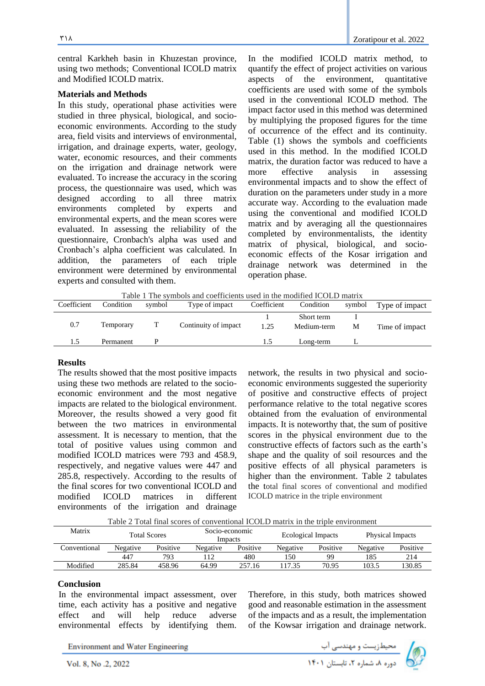318

central Karkheh basin in Khuzestan province, using two methods; Conventional ICOLD matrix and Modified ICOLD matrix.

#### **Materials and Methods**

In this study, operational phase activities were studied in three physical, biological, and socioeconomic environments. According to the study area, field visits and interviews of environmental, irrigation, and drainage experts, water, geology, water, economic resources, and their comments on the irrigation and drainage network were evaluated. To increase the accuracy in the scoring process, the questionnaire was used, which was designed according to all three matrix environments completed by experts and environmental experts, and the mean scores were evaluated. In assessing the reliability of the questionnaire, Cronbach's alpha was used and Cronbach's alpha coefficient was calculated. In addition, the parameters of each triple environment were determined by environmental experts and consulted with them.

In the modified ICOLD matrix method, to quantify the effect of project activities on various aspects of the environment, quantitative coefficients are used with some of the symbols used in the conventional ICOLD method. The impact factor used in this method was determined by multiplying the proposed figures for the time of occurrence of the effect and its continuity. Table (1) shows the symbols and coefficients used in this method. In the modified ICOLD matrix, the duration factor was reduced to have a more effective analysis in assessing environmental impacts and to show the effect of duration on the parameters under study in a more accurate way. According to the evaluation made using the conventional and modified ICOLD matrix and by averaging all the questionnaires completed by environmentalists, the identity matrix of physical, biological, and socioeconomic effects of the Kosar irrigation and drainage network was determined in the operation phase.

Table 1 The symbols and coefficients used in the modified ICOLD matrix

| Coefficient | Condition | symbol | Type of impact       | Coefficient | Condition   | symbol | Type of impact |
|-------------|-----------|--------|----------------------|-------------|-------------|--------|----------------|
|             |           |        |                      |             | Short term  |        |                |
| 0.7         | Temporary |        | Continuity of impact | 1.25        | Medium-term | М      | Time of impact |
| 1.5         | Permanent |        |                      | L.5         | Long-term   |        |                |
|             |           |        |                      |             |             |        |                |

#### **Results**

The results showed that the most positive impacts using these two methods are related to the socioeconomic environment and the most negative impacts are related to the biological environment. Moreover, the results showed a very good fit between the two matrices in environmental assessment. It is necessary to mention, that the total of positive values using common and modified ICOLD matrices were 793 and 458.9, respectively, and negative values were 447 and 285.8, respectively. According to the results of the final scores for two conventional ICOLD and modified ICOLD matrices in different environments of the irrigation and drainage

network, the results in two physical and socioeconomic environments suggested the superiority of positive and constructive effects of project performance relative to the total negative scores obtained from the evaluation of environmental impacts. It is noteworthy that, the sum of positive scores in the physical environment due to the constructive effects of factors such as the earth's shape and the quality of soil resources and the positive effects of all physical parameters is higher than the environment. Table 2 tabulates the total final scores of conventional and modified ICOLD matrice in the triple environment

Table 2 Total final scores of conventional ICOLD matrix in the triple environment

| Matrix       | <b>Total Scores</b> |          | Socio-economic<br>Impacts |        | Ecological Impacts |          | <b>Physical Impacts</b> |          |  |
|--------------|---------------------|----------|---------------------------|--------|--------------------|----------|-------------------------|----------|--|
| Conventional | Negative            | Positive | Positive<br>Negative      |        | Negative           | Positive | Negative                | Positive |  |
|              | 447                 | 793      |                           | 480    | l 50               | 99       | 185                     | 214      |  |
| Modified     | 285.84              | 458.96   | 64.99                     | 257.16 | 17.35              | 70.95    | 103.5                   | 130.85   |  |

#### **Conclusion**

In the environmental impact assessment, over time, each activity has a positive and negative effect and will help reduce adverse environmental effects by identifying them.

Therefore, in this study, both matrices showed good and reasonable estimation in the assessment of the impacts and as a result, the implementation of the Kowsar irrigation and drainage network.

**Environment and Water Engineering** 

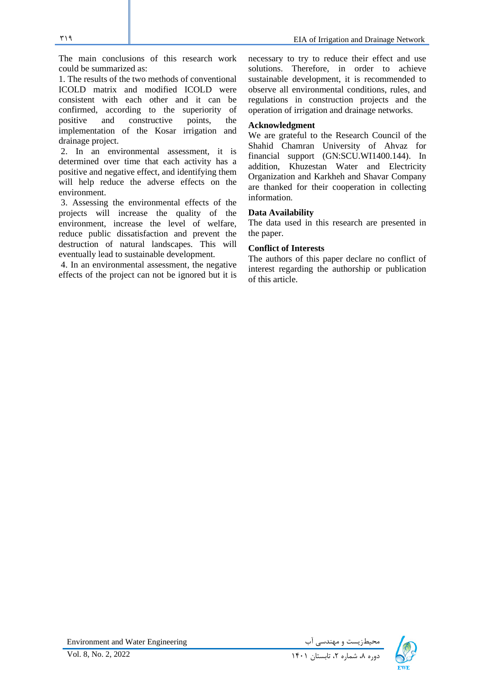The main conclusions of this research work could be summarized as:

1. The results of the two methods of conventional ICOLD matrix and modified ICOLD were consistent with each other and it can be confirmed, according to the superiority of positive and constructive points, the implementation of the Kosar irrigation and drainage project.

2. In an environmental assessment, it is determined over time that each activity has a positive and negative effect, and identifying them will help reduce the adverse effects on the environment.

3. Assessing the environmental effects of the projects will increase the quality of the environment, increase the level of welfare, reduce public dissatisfaction and prevent the destruction of natural landscapes. This will eventually lead to sustainable development.

4. In an environmental assessment, the negative effects of the project can not be ignored but it is

necessary to try to reduce their effect and use solutions. Therefore, in order to achieve sustainable development, it is recommended to observe all environmental conditions, rules, and regulations in construction projects and the operation of irrigation and drainage networks.

#### **Acknowledgment**

We are grateful to the Research Council of the Shahid Chamran University of Ahvaz for financial support (GN:SCU.WI1400.144). In addition, Khuzestan Water and Electricity Organization and Karkheh and Shavar Company are thanked for their cooperation in collecting information.

#### **Data Availability**

The data used in this research are presented in the paper.

#### **Conflict of Interests**

The authors of this paper declare no conflict of interest regarding the authorship or publication of this article.

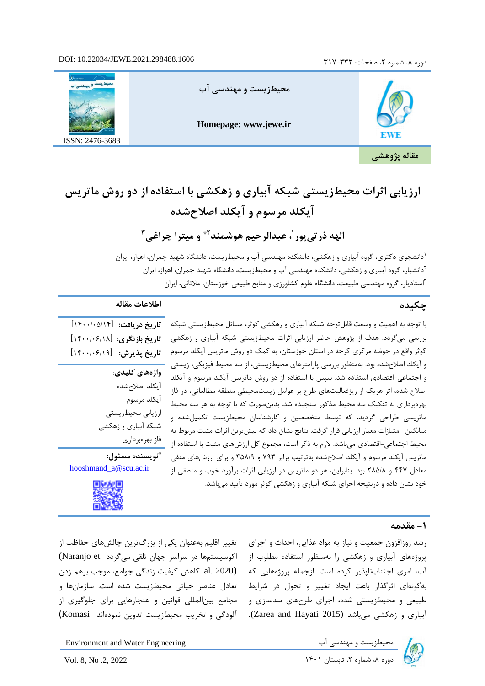#### **I** ^ä j "ÚaÕÛu ¢ã° a‰

Homepage: www.jewe.ir

ISSN: 2476-3683

 $\ddot{a}$  |  $\beta\hat{U}$  r **ÞIW**Ð

# Ÿ å WÕE Û Û ¨|Ý kÂw jkmä ¦ Êß Ûã -kan^ÞÊo¥ ä v¢ ã ° a%õt j-<del>z</del>jä nhã-j **Ý** ¥†î ©j " **Č**å^Û**Û**j -Õ "Čtå^

<sup>"</sup>ä½<del>,</del> j—wéŨ''"Ű¥ÜBÔæ̂—Ñ, ơ ≟–Ürä∨-"ÞàlĴ

½Y€Ë∙YY¼ÂAÝMŠQY|ÌÆ‹—ÃÌZ⁄»́ŒÁ¿Y[M,Êd‡ËÀ∙Æ»Ã|°Œ¿Y{,ÊŒ°Å•ÁÉ∙. ½Y€Ë∙YY*ŶkeĂ*YY¥Â¼Âq⁄¦ÌÆdィËvĤz⁄»OEÁ¿Y{W[ʇ|ÀÆ»Ã|°OE¿Y{,ÊOE°Å∙. ½Y€¿ËZYIÔ,VÊ,Ê^À?Z—f‡věÃĘZAAÁZÁQŠĒŸ,ÃdÌZ^—<del>Ũ</del>EI¿ÀYÆ»,●ÄŽZÁ1€¥

| ÞÑKÆÓt k <sup>1</sup> î ±j                | Ý" aÊ,                                                                                                                                                                                                                              |
|-------------------------------------------|-------------------------------------------------------------------------------------------------------------------------------------------------------------------------------------------------------------------------------------|
| )u Átå <sup>r</sup> k å-kv                | İ^‹ ÊÌ v̂ Lë ●¶ W Z ^ » , ∈ i  ¯ Ê Œ ¶ Å Zot Á‡ ÁE • oZ ÌÌ Ä≰ 『NÅ Ä                                                                                                                                                                 |
| ¨)ã —Î Ùkrk å-kv                          | $\hat{E}$ OE $\circ$ Å • Á $\hat{E}$ • Z $\hat{+}$ $\hat{I}$ M » «Ä $\hat{Y}$ $\hat{\epsilon}$ i $Y\hat{E}$ $\hat{E}$ $\hat{E}$ $\hat{E}$ $\hat{E}$ $\hat{E}$ $\hat{Y}$ $\hat{F}$ $\hat{F}$ $\hat{Y}$ $\hat{F}$ $\hat{F}$ $\hat{Y}$ |
| ")£-årk&                                  | $1\,\hat{A}$ ‡€ $\forall$ †Ë€Ë $\hat{Z}$ ⁄l≫ ‰Á• Á{ ®¼¯ Ä] ,½Zf‡•Ây ½                                                                                                                                                               |
| ã " a∯ä kßÝšjÛ                            | Êf^Ë∙,ʰË,̧Êf∸ÎËèèvćÉZYÅ€f»YÄ{ZÂxÃ] Ês‡Ô∙€Y]                                                                                                                                                                                         |
| $\tilde{A}$  s $\hat{O} \cdot Y$          | °ËΜ Á <sup>1</sup> ‡€»   °ËΜ †Ë€eΖ» ‰Á• <del>Ấ</del> γ̃Ζ•»                                                                                                                                                                          |
| <sup>1</sup> $\hat{A}$ $\uparrow \in$ $x$ | ◆Z§◆{,ÊeZ⋅Zđ»ËÄ-¶~xÀY»ÂËzôŘEZJ˧§€Y—®Ë,€ÃÅ‹€                                                                                                                                                                                         |
| Êf^ËPv» Ê                                 | - I Ä ># E Å ÄÄ ]m ZÂ∯ec •  ¾ Ë   ]   ‹ à   I -rì À \$ Ä Å = ® x º ¨ eà ·                                                                                                                                                           |
| $Ê$ Œ $^{\circ}$ Å $\bullet$ Á I          |                                                                                                                                                                                                                                     |
| É∙YÃ{€/                                   | Ä] •Â]€» d^ŠjÌ»] ÄÄY‱ÆZYYŒE & ËËE ÆE * É]ZËsi•`<br>•Y Ã{Z¨f‡‰•Z•]Yd¶j»•Æ̃"ZZAÅÄ»],1d•∄Ô]≯ €{ÊŸfZ«¼fn                                                                                                                                |
| ``)I U¢ÕÝ Út äJU                          | Ê ¨À ‰É∙ZYÅÉY€Á,Á€]Y€Ä]∖ÄGÔGAeçY°ËM Á <sup>1</sup> ‡€                                                                                                                                                                               |
| hooshmand a@scu.ac.ir                     | •Υ Ê¬~À» Á [Ây {•ÁΜ€] cΥ€i{YÂÊ]ΖËA••Υμ{·                                                                                                                                                                                            |
|                                           | √Æ <sup>1</sup> ,»  ÌËPe {∙»É <del>G</del> ¤2Â1,NÊ0ÄÄ.↑γÃ(∳¿∰AYÀ{nhYY                                                                                                                                                               |
|                                           |                                                                                                                                                                                                                                     |

**Ä»|¬»**

 •Y d᠈ZŠuZÉqZ¥ÀAË]€eY ËİËŪ ,%⊱YÄ€AËŸ¤4€mY Á gY|uY ,ËËY~£ {Y» Ä] •Y [¸˜»Ã{Z¨f‡Y •œÀ» Ä]Y• ÊŒ°Å• ÁÉ•ZÌ]M ÉZÅ ÃÁ€a (Naranjo et {{€³ ʻʬ¸e½ZÆm€‡Y€‡•{ ZźfˆÌ‡Â¯Y لِ 1⁄2{• ºÁ€]\m.» ,ž»YÂun2020∯3¦¿Â¯dÆïjĒÄZç∯SaAndZh=`XK{€¯ (EZËA-famīzeY) Y ,[M —ĽZŽÅel7≵1⁄ÃN∫Ë—•Ìv»ÊeZÌu €•Z—ÀËŸ€E{Z •ę́ µÂ ve Á €Ì̤eàÄ{Ĵ≹?nËY h •Y Ė€İªÄ sm ĖY€] ËË⁄ZİĄI•ŽnAŽAÄ»ÉA•Z34;\${≴¥¥EÄXX¥ãmĒEYţ̃?√≨Än¥)»Á Ë İ^— (Komasi |˷Y¼¿ ¾ËİÀv)≫e ∖oË^€zee Á¦ZaÉea\*{aÄdo Mayat2015) |‹ ŽE]» Ë Œ ÅÅ Ē ● Z İ] M

| <b>Environment and Water Engineerir</b> | $[M \hat{E} \ddagger   \hat{A} \angle E \dot{A} V]$ |
|-----------------------------------------|-----------------------------------------------------|
| Vol. 8, No .2, 2022                     | ½ Z f ^ ]ÃZ∙eZ ½Ã‹                                  |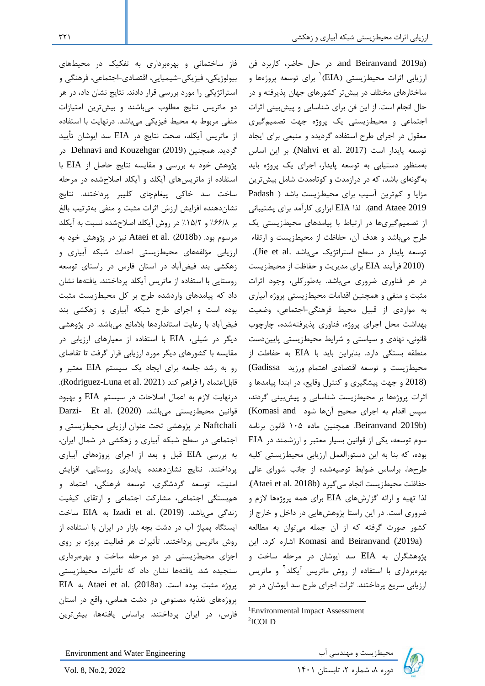(a2019 Beiranvand and. در حال حاضر، کاربرد فن رزیابی اثرات محیطزیستی (EIA)<sup>۱</sup> برای توسعه پروژهها و ساختارهای مختلف در بیشتر کشورهای جهان پذیرفته و در حال انجام است. از این فن برای شناسایی و پیشبینی اثرات اجتماعی و محیطزیستی یک پروژه جهت تصمیمگیری معقول در اجرای طرح استفاده گردیده و منبعی برای ایجاد توسعه پایدار است (2017 .Nahvi et al). بر این اساس بهمنظور دستیابی به توسعه پایدار، اجرای یک پروژه باید بهگونهای باشد، که در درازمدت و کوتاهمدت شامل بیشترین مزایا و کمترین آسیب برای محیطزیست باشد ) Padash 2019 Ataee and). لذا EIA ابزاری کارآمد برای پشتیبانی از تصمیمگیری ها در ارتباط با پیامدهای محیطزیستی یک طرح میباشد و هدف آن، حفاظت از محیط زیست و ارتقاء توسعه پایدار در سطح استراتژیک میباشد .Jie et al.

(2010 فرآیند EIA برای مدیریت و حفاظت از محیطزیست در هر فناوری ضروری میباشد . بهطورکلی، وجود اثرات مثبت و منفی و همچنین اقدامات محیطزیستی پروژه آبیاری به مواردی از قبیل محیط فرهنگی-اجتماعی، وضعیت بهداشت محل اجرای پروژه، فناوری پذیرفتهشده ، چارچوب قانونی، نهادی و سیاستی و شرایط محیطزیستی پاییندست منطقه بستگی دارد. بنابراین باید با EIA به حفاظت از محیطزیست و توسعه اقتصادی اهتمام ورزید Gadissa( (2018 و جهت پیشگیری و کنترل وقایع، در ابتدا پیامدها و اثرات پروژهها بر محیطزیست شناسایی و پیشبینی گردند، سپس اقدام به اجرای صحیح آنها شود and Komasi( (b2019 Beiranvand. همچنین ماده 105 قانون برنامه سوم توسعه، یکی از قوانین بسیار معتبر و ارزشمند در EIA بوده، که بنا به این دستورالعمل ارزیابی محیطزیستی کلیه طرح ها، براساس ضوابط توصیه شده از جانب شورای عالی حفاظت محیطزیست انجام میگیرد (Ataei et al. 2018b). لذا تهیه و ارائه گزارش های EIA برای همه پروژهها الزم و ضروری است. در این راستا پژوهشهایی در داخل و خارج از کشور صورت گرفته که از آن جمله میتوان به مطالعه این .کرد اشاره Komasi and Beiranvand (2019a) پژوهشگران به EIA سد ایوشان در مرحله ساخت و بهرهبرداری با استفاده از روش ماتریس آیکلد<sup>۲</sup> و ماتریس ارزیابی سریع پرداختند. اثرات اجرای طرح سد ایوشان در دو

بیولوژیکی، فیزیکی-شیمیایی، اقتصادی-اجتماعی، فرهنگی و استراتژیکی را مورد بررسی قرار دادند. نتایج نشان داد، در هر دو ماتریس نتایج مطلوب میباشند و بیش ترین امتیازات منفی مربوط به محیط فیزیکی میباشد. درنهایت با استفاده از ماتریس آیکلد، صحت نتایج در EIA سد ایوشان تأیید گردید. همچنین )2019( Kouzehgar and Dehnavi در پژوهش خود به بررسی و مقایسه نتایج حاصل از EIA با استفاده از ماتریسهای آیکلد و آیکلد اصالحشده در مرحله ساخت سد خاکی پیغامچای کلیبر پرداختند. نتایج نشاندهنده افزایش ارزش اثرات مثبت و منفی بهترتیب بالغ بر %66/8 و %15/2 در روش آیکلد اصالحشده نسبت به آیکلد مرسوم بود. )b2018 ).al et Ataei نیز در پژوهش خود به ارزیابی مؤلفههای محیطزیستی احداث شبکه آبیاری و زهکشی بند فیضآباد در استان فارس در راستای توسعه روستایی با استفاده از ماتریس آیکلد پرداختند. یافتهها نشان داد که پیامدهای واردشده طرح بر کل محیطزیست مثبت بوده است و اجرای طرح شبکه آبیاری و زهکشی بند فیضآباد با رعایت استانداردها بالمانع میباشد. در پژوهشی دیگر در شیلی، EIA با استفاده از معیارهای ارزیابی در مقایسه با کشورهای دیگر مورد ارزیابی قرار گرفت تا تقاضای رو به رشد جامعه برای ایجاد یک سیستم EIA معتبر و قابل اعتماد را فراهم کند (Rodriguez-Luna et al. 2021). درنهایت الزم به اعمال اصالحات در سیستم EIA و بهبود قوانین محیطزیستی میباشد. (2020) .Darzi- Et al Naftchali در پژوهشی تحت عنوان ارزیابی محیطزیستی و اجتماعی در سطح شبکه آبیاری و زهکشی در شمال ایران، به بررسی EIA قبل و بعد از اجرای پروژه های آبیاری پرداختند. نتایج نشاندهنده پایداری روستایی، افزایش امنیت، توسعه گردشگری، توسعه فرهنگی، اعتماد و همبستگی اجتماعی، مشارکت اجتماعی و ارتقای کیفیت زندگی میباشد. (2019) Izadi et al. زندگی میباشد. ایستگاه پمپاژ آب در دشت بچه بازار در ایران با استفاده از روش ماتریس پرداختند. تأثیرات هر فعالیت پروژه بر روی اجزای محیطزیستی در دو مرحله ساخت و بهرهبرداری سنجیده شد. یافتهها نشان داد که تأثیرات محیط زیستی HA به Ataei et al. (2018a). پروژه مثبت بوده است. پروژههای تغذیه مصنوعی در دشت همامی، واقع در استان

فاز ساختمانی و بهرهبرداری به تفکیک در محیطهای

Environment and Water Engineering دیگرزیست و مهندسی آب ۴۰۰ Environment and Water Engineering<br>دوره ۸، شماره ۲، تابستان ۱۴۰۱ I۴۰۱ دوره ۸، شماره ۲، تابستان ۱۴۰۱ Ivol. 8, No.2, 2022

فارس، در ایران پرداختند. براساس یافتهها ، بیشترین

<sup>1</sup>Environmental Impact Assessment 2 ICOLD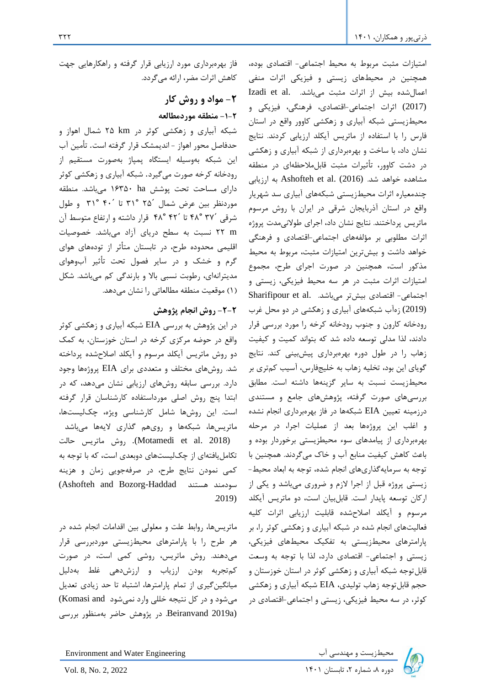امتیازات مثبت مربوط به محیط اجتماعی- اقتصادی بوده، همچنین در محیط های زیستی و فیزیکی اثرات منفی اعمال شده بیش از اثرات مثبت می باشد. .Izadi et al (2017) اثرات اجتماعی-اقتصادی، فرهنگی، فیزیکی و محیطزیستی شبکه آبیاری و زهکشی کاوور واقع در استان فارس را با استفاده از ماتریس آیکلد ارزیابی کردند. نتایج نشان داد، با ساخت و بهرهبرداری از شبکه آبیاری و زهکشی در دشت کاوور، تأثیرات مثبت قابلمالحظهای در منطقه مشاهده خواهد شد. Ashofteh et al. (2016) به ارزیابی چندمعیاره اثرات محیطزیستی شبکه های آبیاری سد شهریار واقع در استان آذربایجان شرقی در ایران با روش مرسوم ماتریس پرداختند. نتایج نشان داد ، اجرای طوالنیمدت پروژه اثرات مطلوبی بر مؤلفههای اجتماعی-اقتصادی و فرهنگی خواهد داشت و بیشترین امتیازات مثبت، مربوط به محیط مذکور است، همچنین در صورت اجرای طرح، مجموع امتیازات اثرات مثبت در هر سه محیط فیزیکی، زیستی و اجتماعی- اقتصادی بیشتر میباشد. Sharifipour et al. (2019) زهآ ب شبکه های آبیاری و زهکشی در دو محل غرب رودخانه کارون و جنوب رودخانه کرخه را مورد بررسی قرار دادند، لذا مدلی توسعه داده شد که بتواند کمیت و کیفیت زهاب را در طول دوره بهرهبرداری پیشبینی کند. نتایج گویای این بود، تخلیه زهاب به خلیجفارس، آسیب کمتری بر محیطزیست نسبت به سایر گزینه ها داشته است. مطابق بررسیهای صورت گرفته، پژوهشهای جامع و مستندی درزمینه تعیین EIA شبکهها در فاز بهرهبرداری انجام نشده و اغلب این پروژهها بعد از عملیات اجرا، در مرحله بهرهبرداری از پیامدهای سوء مح یطزیستی برخوردار بوده و باعث کاهش کیفیت منابع آب و خاک میگردند. همچنین با توجه به سرمایهگذاریهای انجام شده، توجه به ابعاد محیط- زیستی پروژه قبل از اجرا الزم و ضروری میباشد و یکی از ارکان توسعه پایدار است. قابلبیان است، دو ماتریس آیکلد مرسوم و آیکلد اصالحشده قابلیت ارزیابی اثرات کلیه فعالیتهای انجام شده در شبکه آبیاری و زهکشی کوثر را، بر پارامترهای محیطزیستی به تفکیک محیطهای فیزیکی، زیستی و اجتماعی- اقتصادی دارد، لذا با توجه به وسعت قابلتوجه شبکه آبیاری و زهکشی کوثر در استان خوزستان و حجم قابلتوجه زهاب تولیدی، EIA شبکه آبیاری و زهکشی کوثر، در سه محیط فیزیکی، زیستی و اجتماعی -اقتصادی در

فاز بهرهبرداری مورد ارزیابی قرار گرفته و راهکارهایی جهت کاهش اثرات مضر، ارائه میگردد.

# **-2 مواد و روش کار -1-2 منطقه موردمطالعه**

شبکه آبیاری و زهکشی کوثر در km 25 شمال اهواز و حدفاصل محور اهواز - اندیمشک قرار گرفته است. تأمین آب این شبکه به وسیله ایستگاه پمپاژ به صورت مستقیم از رودخانه کرخه صورت میگیرد. شبکه آبیاری و زهکشی کوثر دارای مساحت تحت پوشش ha 16350 میباشد. منطقه موردنظر بین عرض شمال ́25 31° تا ́40 31° و طول شرقی ́37 48° تا ́42 48° قرار داشته و ارتفاع متوسط آن m 22 نسبت به سطح دریای آزاد میباشد. خصوصیات اقلیمی محدوده طرح، در تابستان متأثر از تودههای هوای گرم و خشک و در سایر فصول تحت تأثیر آبوهوای مدیترانهای، رطوبت نسبی باال و بارندگی کم میباشد. شکل )1( موقعیت منطقه مطالعاتی را نشان میدهد.

## **-2-2 روش انجام پژوهش**

در این پژوهش به بررسی EIA شبکه آبیاری و زهکشی کوثر واقع در حوضه مرکزی کرخه در استان خوزستان، به کمک دو روش ماتریس آیکلد مرسوم و آیکلد اصالحشده پرداخته شد. روشهای مختلف و متعددی برای EIA پروژهها وجود دارد. بررسی سابقه روش های ارزیابی نشان میدهد ، که در ابتدا پنج روش اصلی مورداستفاده کارشناسان قرار گرفته است. این روش ها شامل کارشناسی ویژه، چکلیستها، ماتریسها، شبکهها و رویهم گذاری الیهها میباشد

 (2018 .al et Motamedi(. روش ماتریس حالت تکاملیافتهای از چک لیست های دوبعدی است، که با توجه به کمی نمودن نتایج طرح، در صرفه جویی زمان و هزینه (Ashofteh and Bozorg-Haddad هستند سودمند .2019)

ماتریسها، روابط علت و معلولی بین اقدامات انجام شده در هر طرح را با پارامترهای محیطزیستی موردبررسی قرار میدهند. روش ماتریس، روشی کمی است، در صورت کمتجربه بودن ارزیاب و ارزش دهی غلط بهدلیل میانگینگیری از تمام پارامترها، اشتباه تا حد زیادی تعدیل میشود و در کل نتیجه خللی وارد نمیشود and Komasi( (a2019 Beiranvand. در پژوهش حاضر بهمنظور بررسی



Environment and Water Engineering دیگرزیست و مهندسی آب ۴۰۰ Environment and Water Engineering<br>دوره ۸، شماره ۲، تابستان ۱۴۰۱ I۴۰۱ ایستان ۱۴۰۱ Ivol. 8, No. 2, 2022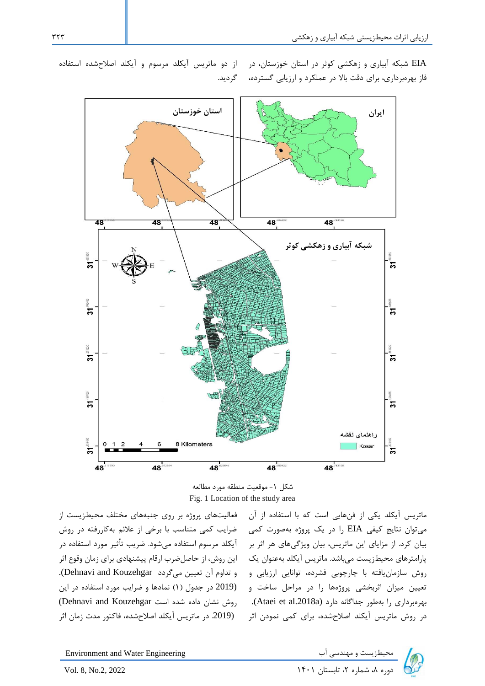

EIA شبکه آبیاری و زهکشی کوثر در استان خوزستان، در از دو ماتریس آیکلد مرسوم و آیکلد اصالحشده استفاده فاز بهرهبرداری، برای دقت باال در عملکرد و ارزیابی گسترده، گردید.

شکل -1 موقعیت منطقه مورد مطالعه Fig. 1 Location of the study area

ماتریس ایکلد یکی از فنهایی است که با استفاده از ان §فعالیتهای پروژه بر روی جنبههای مختلف محیطزیست از میتوان نتایج کیفی EIA را در یک پروژه بهصورت کمی ضرایب کمی متناسب با برخی از عالئم بهکاررفته در روش پارامترهای محیطزیست میباشد. ماتریس آیکلد بهعنوان یک این روش، از حاصلضرب ارقام پیشنهادی برای زمان وقوع اثر روش سازمان یافته با چارچوبی فشرده، توانایی ارزیابی و و تداوم آن تعیین میگردد Dehnavi and Kouzehgar. نعیین میزان اثربخشی پروژهها را در مراحل ساخت و ۔ (2019 در جدول (۱) نمادها و ضرایب مورد استفاده در این بهرهبرداری را بهطور جداگانه دارد (Ataei et al.2018a). روش نشان داده شده است Dehnavi and Kouzehgar) در روش ماتریس آیکلد اصلاحشده، برای کمی نمودن اثر ۔ (2019 در ماتریس آیکلد اصلاحشده، فاکتور مدت زمان اثر آیکلد مرسوم استفاده میشود. ضریب تأثیر مورد استفاده در

بیان کرد. از مزایای این ماتریس، بیان ویژگیهای هر اثر بر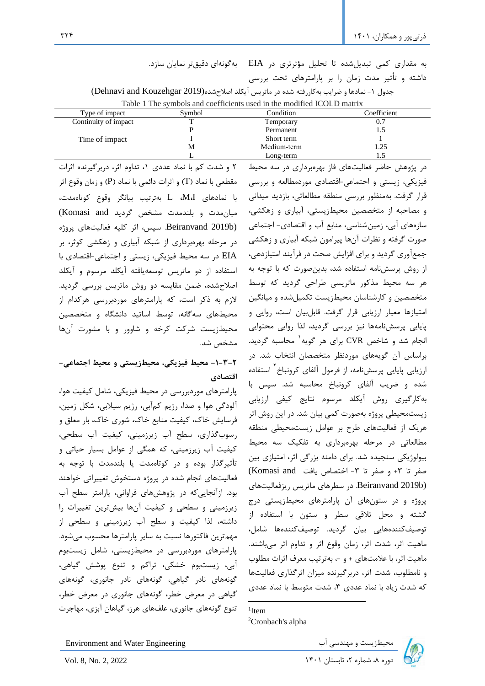به مقداری کمی تبدیلشده تا تحلیل مؤثرتری در EIA بهگونه ای دقیقتر نمایان سازد. داشته و تأثیر مدت زمان را بر پارامترهای تحت بررسی جدول ۱- نمادها و ضرایب بهکاررفته شده در ماتریس آیکلد اصلاحشده(Dehnavi and Kouzehgar 2019) Table 1 The symbols and coefficients used in the modified ICOLD matrix

| Type of impact       | Symbol | Condition   | Coefficient |
|----------------------|--------|-------------|-------------|
| Continuity of impact |        | Temporary   | 0.7         |
|                      |        | Permanent   |             |
| Time of impact       |        | Short term  |             |
|                      | М      | Medium-term | .25         |
|                      |        | Long-term   |             |

2 و شدت کم با نماد عددی ،1 تداوم اثر، دربرگیرنده اثرات مقطعی با نماد )T )و اثرات دائمی با نماد )P )و زمان وقوع اثر با نمادهای I،M، L بهترتیب بیانگر وقوع کوتاهمدت، میانمدت و بلندمدت مشخص گردید and Komasi( (b2019 Beiranvand. سپس، اثر کلیه فعالیتهای پروژه در مرحله بهره برداری از شبکه آبیاری و زهکشی کوثر، بر EIA در سه محیط فیزیکی، زیستی و اجتماعی-اقتصادی با استفاده از دو ماتریس توسعهیافته آیکلد مرسوم و آیکلد اصالح شده، ضمن مقایسه دو روش ماتریس بررسی گردید. الزم به ذکر است، که پارامترهای موردبررسی هرکدام از محیطهای سهگانه، توسط اساتید دانشگاه و متخصصین محیطزیست شرکت کرخه و شاوور و با مشورت آن ها مشخص شد.

# **-1-3-2 محیط فیزیکی، محیط زیستی و محیط اجتماعی - اقتصادی**

پارامترهای موردبررسی در محیط فیزیکی، شامل کیفیت هوا، آلودگی هوا و صدا، رژیم کمآبی، رژیم سیالبی، شکل زمین، فرسایش خاک، کیفیت منابع خاک، شوری خاک، بار معلق و رسوب گذاری، سطح آب زیرزمینی، کیفیت آب سطحی، کیفیت آب زیرزمینی، که همگی از عوامل بسیار حیاتی و تأثیرگذار بوده و در کوتاهمدت یا بلندمدت با توجه به فعالیتهای انجام شده در پروژه دستخوش تغییراتی خواهند بود. ازآنجاییکه در پژوهش های فراوانی، پارامتر سطح آب زیرزمینی و سطحی و کیفیت آنها بیشترین تغییرات را داشته، لذا کیفیت و سطح آب زیرزمینی و سطحی از مهمترین فاکتورها نسبت به سایر پارامترها محسوب میشود. پارامترهای موردبررسی در محیطزیستی، شامل زیستبوم آبی، زیستبوم خشکی، تراکم و تنوع پوشش گیاهی، گونههای نادر گیاهی، گونههای نادر جانوری، گونههای گیاهی در معرض خطر، گونههای جانوری در معرض خطر، تنوع گونههای جانوری، علفهای هرز، گیاهان آبزی، مهاجرت

در پژوهش حاضر فعالیتهای فاز بهرهبرداری در سه محیط فیزیکی، زیستی و اجتماعی-اقتصادی موردمطالعه و بررسی قرار گرفت. بهمنظور بررسی منطقه مطالعاتی، بازدید میدانی و مصاحبه از متخصصین محیطزیستی، آبیاری و زهکشی، سازههای آبی، زمینشناسی، منابع آب و اقتصادی- اجتماعی صورت گرفته و نظرات آن ها پیرامون شبکه آبیاری و زهکشی جمع آوری گردید و برای افزایش صحت در فرآیند امتیازدهی، از روش پرسش نامه استفاده شد، بدینصورت که با توجه به هر سه محیط مذکور ماتریسی طراحی گردید که توسط متخصصین و کارشناسان محیط زیست تکمیل شده و میانگین امتیازها معیار ارزیابی قرار گرفت. قابلبیان است، روایی و پایایی پرسشنامهها نیز بررسی گردید، لذا روایی محتوایی 1 انجام شد و شاخص CVR برای هر گویه محاسبه گردید. براساس آن گویههای موردنظر متخصصان انتخاب شد. در رزیابی پایایی پرسشنامه، از فرمول آلفای کرونباخ<sup>۲</sup> استفاده شده و ضریب آلفای کرونباخ محاسبه شد. سپس با بهکارگیری روش آیکلد مرسوم نتایج کیفی ارزیابی زیست محیطی پروژه بهصورت کمی بیان شد. در این روش اثر هریک از فعالیتهای طرح بر عوامل زیست محیطی منطقه مطالعاتی در مرحله بهرهبرداری به تفکیک سه محیط بیولوژیکی سنجیده شد. برای دامنه بزرگی اثر، امتیازی بین صفر تا ٣+ و صفر تا ٣- اختصاص یافت Komasi and) (b2019 Beiranvand. در سطرهای ماتریس ریزفعالیتهای پروژه و در ستون های آن پارامترهای محیطزیستی درج گشته و محل تالقی سطر و ستون با استفاده از توصیف کنندههایی بیان گردید. توصیف کنندهها شامل، ماهیت اثر، شدت اثر، زمان وقوع اثر و تداوم اثر میباشند. ماهیت اثر، با عالمتهای + و ،- بهترتیب معرف اثرات مطلوب و نامطلوب، شدت اثر، دربرگیرنده میزان اثرگذاری فعالیتها که شدت زیاد با نماد عددی ۳، شدت متوسط با نماد عددی

1 Item <sup>2</sup>Cronbach's alpha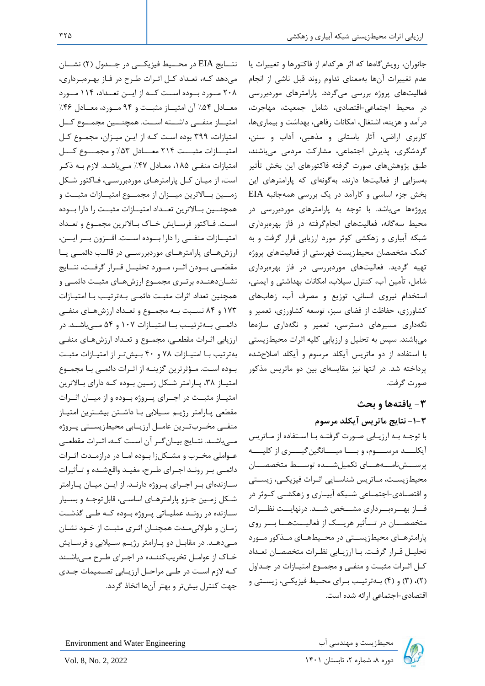نتـــایج EIA در محـــیط فیزیکـــی در جـــدول (۲) نشـــان میدهد کهه، تعهداد کهل اثهرات طهرح در فهاز بههرهبهرداری، 208 مههورد بههوده اسههت کههه از ایههن تعههداد، 114 مههورد معهادل ۵۴٪ آن امتیهاز مثبت و ۹۴ مهورد، معهادل ۴۶٪ امتیهاز منفیی داشسته اسست. همچنسین مجمسوع کسل امتیازات، 399 بوده اسهت کهه از ایهن میهزان، مجمهوع کهل امتیهازات مثبت ٢١۴ معهادل ۵۳٪ و مجمهوع کسل امتیازات منفهی ،185 معهادل %47 مهیباشهد. الزم بهه ذکهر است، از میهان کهل پارامترههای موردبررسهی، فهاکتور شهکل زمسین بسالاترین میسزان از مجمسوع امتیسازات مثبست و همچنسین بسالاترین تعمداد امتیسازات مثبست را دارا بسوده است. فـاکتور فرسـایش خـاک بـالاترین مجمـوع و تعـداد امتیازات منفهی را دارا بهوده اسهت. افهزون بهر ایسن، ارزشههای پارامترههای موردبررسهی در قالب دائمهی یها مقطعهی بهودن اثهر، مهورد تحلیمل قهرار گرفهت، نتسایج نشـاندهنـده برتـری مجمـوع ارزشهـای مثبـت دائمـی و همچنین تعداد اثرات مثبهت دائمهی بههترتیهب بها امتیهازات 173 و 84 نسههبت بههه مجمههوع و تعههداد ارزشهههای منفههی دائمهی به ترتیه به امتیهازات ۱۰۷ و ۵۴ مهه باشهد. در ارزیابی اثـرات مقطعـی، مجمـوع و تعـداد ارزشهـای منفـی بهترتیب بها امتیهازات 78 و 40 بهیشتهر از امتیهازات مثبهت بهوده اسهت. مهؤثرترین گزینهه از اثهرات دائمهی بها مجمهوع امتیاز ۳۸، پارامتر شکل زمین بوده که دارای بالاترین امتیماز مثبت در اجهرای پهروژه بهوده و از میمان اثهرات مقطعی پارامتر رژیم سیلابی با داشتن بیشترین امتیاز منفـی مخـربتـرین عامـل ارزیـابی محیطزیسـتی پـروژه مه یباشهد. نتسایج بیمان گهر آن اسست کهه، اثبرات مقطعهی عـواملی مخـرب و مشـکلزا بـوده امـا در درازمـدت اثـرات دائمـی بـر رونـد اجـرای طـرح، مفیـد واقعشـده و تـأثیرات سازندهای بهر اجهرای پهروژه دارنهد. از ایهن میهان پهارامتر شهکل زمهین جهزو پارامترههای اساسهی، قابلتوجهه و بسهیار سازنده در رونـد عملیـاتی پـروژه بـوده کـه طـی گذشـت زمان و طولانی مدت همچنان اثری مثبت از خود نشان مهد. در مقابیل دو پیارامتر رژییم سیلابی و فرسایش خـاک از عوامـل تخریبکننـده در اجـرای طـرح مـی باشـند کهه الزم اسهت در طهی مراحهل ارزیهابی تصهمیمات جههدی جهت کنترل بیشتر و بهتر آنها اتخاذ گردد.

جانوران، رویشگاهها که اثر هرکدام از فاکتورها و تغییرات یا عدم تغییرات آن ها بهمعنای تداوم روند قبل ناشی از انجام فعالیتهای پروژه بررسی میگردد. پارامترهای موردبررسی در محیط اجتماعی-اقتصادی، شامل جمعیت، مهاجرت، درآمد و هزینه، اشتغال، امکانات رفاهی، بهداشت و بیماریها، کاربری اراضی، آثار باستانی و مذهبی، آداب و سنن، گردشگری، پذیرش اجتماعی، مشارکت مردمی میباشند، طبق پژوهشهای صورت گرفته فاکتورهای این بخش تأثیر بهسزایی از فعالیتها دارند، بهگونه ای که پارامترهای این بخش جزء اساسی و کارآمد در یک بررسی همه جانبه EIA پروژهها میباشد. با توجه به پارامترهای موردبررسی در محیط سه گانه، فعالیتهای انجامگرفته در فاز بهرهبرداری شبکه آبیاری و زهکشی کوثر مورد ارزیابی قرار گرفت و به کمک متخصصان محیط زیست فهرستی از فعالیتهای پروژه تهیه گردید. فعالیتهای موردبررسی در فاز بهرهبرداری شامل، تأمین آب، کنترل سیالب، امکانات بهداشتی و ایمنی، استخدام نیروی انسانی، توزیع و مصرف آب، زهاب های کشاورزی، حفاظت از فضای سبز، توسعه کشاورزی، تعمیر و نگهداری مسیرهای دسترسی، تعمیر و نگهداری سازهها میباشند. سپس به تحلیل و ارزیابی کلیه اثرات محیطزیستی با استفاده از دو ماتریس آیکلد مرسوم و آیکلد اصالح شده پرداخته شد. در انتها نیز مقایسه ای بین دو ماتریس مذکور صورت گرفت.

# **-3 یافتهها و بحث**

**-1-3 نتایج ماتریس آیکلد مرسوم**

با توجه به ارزیابی صورت گرفتـه بـا اسـتفاده از مـاتریس آیکلـــد مرســـوم، و بـــا میـــانگینگیـــری از کلیـــه پرســشنامــههــای تکمیلشــده توســط متخصصــان محیطزیسـت، مـاتریس شناسـایی اثـرات فیزیکـی، زیسـتی و اقتصـادی-اجتمــاعی شــبکه آبیــاری و زهکشــی کــوثر در فساز بهسرهبسرداری مشسخص شسد. درنهایست نظسرات متخصصـــان در تـــأثیر هریـــک از فعالیـــتهـــا بـــر روی پارامترههای محیطزیستی در محهیطههای مهذکور مهورد تحلیهل قهرار گرفهت. بها ارزیهابی نظهرات متخصصهان تعهداد کهل اثهرات مثبهت و منفهی و مجمهوع امتیهازات در جهداول (۲)، (۳) و (۴) به ترتیب برای محیط فیزیکی، زیستی و اقتصادی-اجتماعی ارائه شده است.

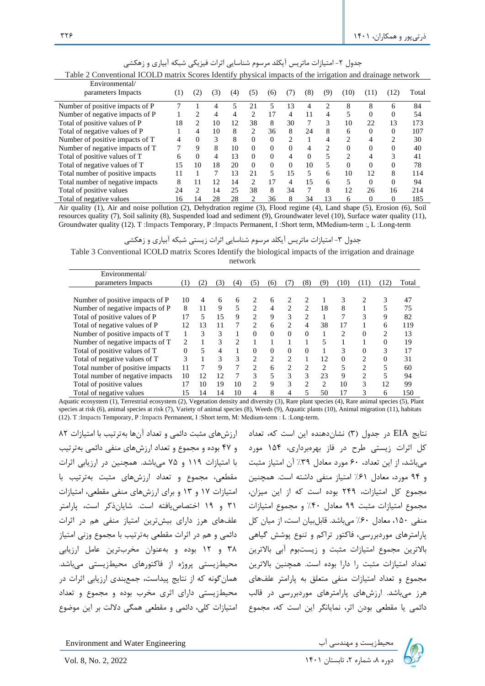| Table 2 Conventional ICOLD matrix Scores Identify physical impacts of the irrigation and drainage network |     |                             |     |     |                |          |                               |          |                |                             |          |      |       |
|-----------------------------------------------------------------------------------------------------------|-----|-----------------------------|-----|-----|----------------|----------|-------------------------------|----------|----------------|-----------------------------|----------|------|-------|
| Environmental/                                                                                            |     |                             |     |     |                |          |                               |          |                |                             |          |      |       |
| parameters Impacts                                                                                        | (1) | $\left( 2\right)$           | (3) | (4) | (5)            | (6)      | (7)                           | (8)      | (9)            | (10)                        | (11)     | (12) | Total |
| Number of positive impacts of P                                                                           |     |                             | 4   | 5   | 21             | 5        | 13                            | 4        | $\overline{c}$ | 8                           | 8        | 6    | 84    |
| Number of negative impacts of P                                                                           |     | 2                           | 4   | 4   | $\mathcal{L}$  | 17       | 4                             | 11       | 4              | 5                           | $\Omega$ | 0    | 54    |
| Total of positive values of P                                                                             | 18  | 2                           | 10  | 12  | 38             | 8        | 30                            | 7        | 3              | 10                          | 22       | 13   | 173   |
| Total of negative values of P                                                                             |     | 4                           | 10  | 8   | $\mathfrak{D}$ | 36       | 8                             | 24       | 8              | 6                           | 0        | 0    | 107   |
| Number of positive impacts of T                                                                           | 4   | $\Omega$                    | 3   | 8   | 0              | $\Omega$ | $\mathfrak{D}_{\mathfrak{p}}$ |          | 4              | $\mathcal{D}_{\mathcal{L}}$ | 4        | 2    | 30    |
| Number of negative impacts of T                                                                           | 7   | 9                           | 8   | 10  | 0              | $\Omega$ | $\Omega$                      | 4        | 2              | $\Omega$                    | 0        |      | 40    |
| Total of positive values of T                                                                             | 6   | $\Omega$                    | 4   | 13  | $\Omega$       | 0        | 4                             | $\Omega$ | 5              | 2                           | 4        |      | 41    |
| Total of negative values of T                                                                             | 15  | 10                          | 18  | 20  | $\Omega$       | $\Omega$ | $\Omega$                      | 10       | 5              | $\Omega$                    | $\Omega$ | 0    | 78    |
| Total number of positive impacts                                                                          | 11  |                             | 7   | 13  | 21             |          | 15                            | 5        | 6              | 10                          | 12       | 8    | 114   |
| Total number of negative impacts                                                                          | 8   | 11                          | 12  | 14  | $\mathfrak{D}$ | 17       | 4                             | 15       | 6              | 5                           | $\Omega$ | 0    | 94    |
| Total of positive values                                                                                  | 24  | $\mathcal{D}_{\mathcal{L}}$ | 14  | 25  | 38             | 8        | 34                            | 7        | 8              | 12                          | 26       | 16   | 214   |
| Total of negative values                                                                                  | 16  | 14                          | 28  | 28  | 2              | 36       | 8                             | 34       | 13             | 6                           | 0        | 0    | 185   |

جدول ۲- امتیازات ماتریس آیکلد مرسوم شناسایی اثرات فیزیکی شبکه آبیاری و زهکشی

Air quality (1), Air and noise pollution (2), Dehydration regime (3), Flood regime (4), Land shape (5), Erosion (6), Soil resources quality (7), Soil salinity (8), Suspended load and sediment (9), Groundwater level (10), Surface water quality (11), Groundwater quality (12). T :Impacts Temporary, P :Impacts Permanent, I :Short term, MMedium-term :, L :Long-term

جدول -3 امتیازات ماتریس آیکلد مرسوم شناسایی اثرات زیستی شبکه آبیاری و زهکشی

Table 3 Conventional ICOLD matrix Scores Identify the biological impacts of the irrigation and drainage

network

| Environmental/                   |     |     |     |                |                |          |                             |                |                |               |                |          |       |
|----------------------------------|-----|-----|-----|----------------|----------------|----------|-----------------------------|----------------|----------------|---------------|----------------|----------|-------|
| parameters Impacts               | (1) | (2) | (3) | (4)            | (5)            | (6)      |                             | (8)            | (9)            | (10)          | (11)           | (12)     | Total |
|                                  |     |     |     |                |                |          |                             |                |                |               |                |          |       |
| Number of positive impacts of P  | 10  | 4   | 6   | 6              | 2              | 6        | 2                           | 2              | 1              | 3             |                | 3        | 47    |
| Number of negative impacts of P  | 8   | 11  | 9   | 5              | 2              | 4        | 2                           | 2              | 18             | 8             |                |          | 75    |
| Total of positive values of P    | 17  | 5   | 15  | 9              | 2              | 9        | 3                           | 2              | 1              | 7             | 3              | 9        | 82    |
| Total of negative values of P    | 12  | 13  | 11  |                | 2              | 6        | 2                           | 4              | 38             | 17            |                | 6        | 119   |
| Number of positive impacts of T  |     | 3   | 3   |                | $\Omega$       | $\Omega$ | $\Omega$                    | $\Omega$       | 1              | $\mathcal{D}$ | $\Omega$       | 2        | 13    |
| Number of negative impacts of T  | 2   |     | 3   | $\mathfrak{D}$ |                |          |                             |                | 5              |               |                | $\theta$ | 19    |
| Total of positive values of T    | 0   | 5   | 4   |                | $\Omega$       | 0        | 0                           | $\Omega$       |                | 3             | $\Omega$       | 3        | 17    |
| Total of negative values of T    | 3   | 1   | 3   | $\mathcal{F}$  | $\mathfrak{D}$ | 2        | $\mathcal{D}_{\mathcal{L}}$ |                | 12             | $\Omega$      | 2              | $\theta$ | 31    |
| Total number of positive impacts | 11  | 7   | 9   | 7              | $\mathfrak{D}$ | 6        | 2                           | $\overline{c}$ | 2              | 5             | 2              |          | 60    |
| Total number of negative impacts | 10  | 12  | 12  | 7              | 3              | 5        | 3                           | 3              | 23             | 9             | $\overline{c}$ |          | 94    |
| Total of positive values         | 17  | 10  | 19  | 10             | 2.             | 9        | 3                           | $\overline{c}$ | $\overline{c}$ | 10            | 3              | 12       | 99    |
| Total of negative values         | 15  | 14  | 14  | 10             | 4              | 8        | 4                           | 5              | 50             | 17            | $\mathcal{R}$  | 6        | 150   |

Aquatic ecosystem (1), Terrestrial ecosystem (2), Vegetation density and diversity (3), Rare plant species (4), Rare animal species (5), Plant species at risk (6), animal species at risk (7), Variety of animal species (8), Weeds (9), Aquatic plants (10), Animal migration (11), habitats (12). T :Impacts Temporary, P :Impacts Permanent, I :Short term, M: Medium-term : L :Long-term.

نتایج EIA در جدول (۳) نشاندهنده این است که، تعداد ارزشهای مثبت دائمی و تعداد آنها بهترتیب با امتیازات ۸۲ کل اثرات زیستی طرح در فاز بهرهبرداری، ۱۵۴ مورد ٪ و ۴۷ بوده و مجموع و تعداد ارزشهای منفی دائمی بهترتیب مجموع کل امتیازات، ۲۴۹ بوده است که از این میزان، امتیازات ۱۷ و ۱۳ و برای ارزشهای منفی مقطعی، امتیازات هرز میباشد. ارزشهای پارامترهای موردبررسی در قالب هحیطزیستی دارای اثری مخرب بوده و مجموع و تعداد دائمی یا مقطعی بودن اثر، نمایانگر این است که، مجموع امتیازات کلی، دائمی و مقطعی همگی داللت بر این موضوع با امتیازات 119 و 75 میباشد. همچنین در ارزیابی اثرات مقطعی، مجموع و تعداد ارزشهای مثبت بهترتیب با 31 و 19 اختصاصیافته است. شایانذکر است، پارامتر علفهای هرز دارای بیشترین امتیاز منفی هم در اثرات دائمی و هم در اثرات مقطعی بهترتیب با مجموع وزنی امتیاز 38 و 12 بوده و بهعنوان مخرب ترین عامل ارزیابی محیطزیستی پروژه از فاکتورهای محیطزیستی میباشد. همانگونه که از نتایج پیداست، جمع بندی ارزیابی اثرات در

میباشد، از این تعداد، 60 مورد معادل %39 آن امتیاز مثبت و 94 مورد، معادل %61 امتیاز منفی داشته است. همچنین مجموع امتیازات مثبت 99 معادل %40 و مجموع امتیازات منفی ،150 معادل %60 میباشد. قابلبیان است، از میان کل پارامترهای موردبررسی، فاکتور تراکم و تنوع پوشش گیاهی باالترین مجموع امتیازات مثبت و زیستبوم آبی باالترین تعداد امتیازات مثبت را دارا بوده است. همچنین باالترین مجموع و تعداد امتیازات منفی متعلق به پارامتر علفهای

Environment and Water Engineering

دی اب سخیطزیست و مهندسی آب استان استان دوره به شماره می سوم سال ۱۴۰۱ Environment and Water Engineering<br>بروه ۸، شماره ۲، تابستان ۱۴۰۱ I۴۰۱ استان ۱۴۰۱ I۴۰۱ دوره ۸، شماره ۲، تابستان ۱۴۰۱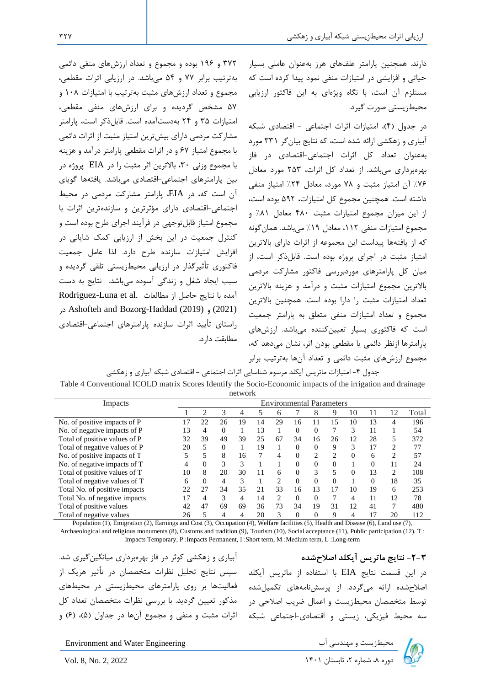372 و 196 بوده و مجموع و تعداد ارزش های منفی دائمی بهترتیب برابر 77 و 54 میباشد. در ارزیابی اثرات مقطعی، مجموع و تعداد ارزش های مثبت بهترتیب با امتیازات 108 و 57 مشخص گردیده و برای ارزش های منفی مقطعی، امتیازات 35 و 24 بهدستآمده است. قابلذکر است، پارامتر مشارکت مردمی دارای بیشترین امتیاز مثبت از اثرات دائمی با مجموع امتیاز 67 و در اثرات مقطعی پارامتر درآمد و هزینه با مجموع وزنی ،30 باالترین اثر مثبت را در EIA پروژه در بین پارامترهای اجتماعی -اقتصادیمیباشد. یافتهها گویای آن است که، در EIA، پارامتر مشارکت مردمی در محیط اجتماعی-اقتصادی دارای مؤثرترین و سازندهترین اثرات با مجموع امتیاز قابلتوجهی در فرآیند اجرای طرح بوده است و کنترل جمعیت در این بخش از ارزیابی کمک شایانی در افزایش امتیازات سازنده طرح دارد. لذا عامل جمعیت فاکتوری تأثیرگذار در ارزیابی محیطزیستی تلقی گردیده و سبب ایجاد شغل و زندگی آسوده میباشد.نتایج به دست Rodriguez-Luna et al. آمده با نتایج حاصل از مطالعات در Ashofteh and Bozorg-Haddad (2019) و) 2021( راستای تأیید اثرات سازنده پارامترهای اجتماعی -اقتصادی مطابقت دارد.

دارند. همچنین پارامتر علفهای هرز بهعنوان عاملی بسیار حیاتی و افزایشی در امتیازات منفی نمود پیدا کرده است که مستلزم آن است، با نگاه ویژهای به این فاکتور ارزیابی محیطزیستی صورت گیرد.

در جدول )4(، امتیازات اثرات اجتماعی - اقتصادی شبکه آبیاری و زهکشی ارائه شده است، که نتایج بیانگر 331 مورد بهعنوان تعداد کل اثرات اجتماعی-اقتصادی در فاز بهرهبرداری میباشد. از تع داد کل اثرات، 253 مورد معادل %76 آن امتیاز مثبت و 78 مورد، معادل %24 امتیاز منفی داشته است. همچنین مجموع کل امتیازات، 592 بوده است، از این میزان مجموع امتیازات مثبت 480 معادل %81 و مجموع امتیازات منفی ،112 معادل %19 میباشد. همانگونه که از یافتهها پیداست این مجموعه از اثرات دارای باالترین امتیاز مثبت در اجرای پروژه بوده است. قابلذکر است، از میان کل پارامترهای موردبررسی فاکتور مشارکت مردمی باالترین مجموع امتیازات مثبت و درآمد و هزینه باالترین تعداد امتیازات مثبت را دارا بوده است. همچنین باالترین مجموع و تعداد امتیازات منفی متعلق به پارامتر جمعیت است که فاکتوری بسیار تعیین کننده میباشد. ارزش های پارامترها ازنظر دائمی یا مقطعی بودن اثر، نشان میدهد که، مجموع ارزش های مثبت دائمی و تعداد آنها بهترتیب برابر

جدول ۴- امتیازات ماتریس آیکلد مرسوم شناسایی اثرات اجتماعی - اقتصادی شبکه آبیاری و زهکشی Table 4 Conventional ICOLD matrix Scores Identify the Socio-Economic impacts of the irrigation and drainage network

| Impacts                       | <b>Environmental Parameters</b> |          |          |    |    |                |          |                |          |          |          |    |       |
|-------------------------------|---------------------------------|----------|----------|----|----|----------------|----------|----------------|----------|----------|----------|----|-------|
|                               |                                 | っ        | 3        |    |    | 6              |          | 8              | 9        | 10       |          | 12 | Total |
| No. of positive impacts of P  |                                 | 22       | 26       | 19 | 14 | 29             | 16       | 11             | 15       | 10       | 13       | 4  | 196   |
| No. of negative impacts of P  | 13                              | 4        | $\Omega$ |    | 13 |                | $\Omega$ | 0              |          | 3        | 11       |    | 54    |
| Total of positive values of P | 32                              | 39       | 49       | 39 | 25 | 67             | 34       | 16             | 26       | 12       | 28       | 5  | 372   |
| Total of negative values of P | 20                              | 5        | $\Omega$ |    | 19 |                | $\theta$ | $\Omega$       | 9        | 3        | 17       | 2  | 77    |
| No. of positive impacts of T  |                                 | 5        | 8        | 16 |    | 4              | $\theta$ | $\overline{c}$ | ∍        |          | 6        | 2  | 57    |
| No. of negative impacts of T  | 4                               | 0        | 3        | 3  |    |                | $\theta$ | $\Omega$       | $\Omega$ |          | $\Omega$ | 11 | 24    |
| Total of positive values of T | 10                              | 8        | 20       | 30 | 11 | 6              | $\Omega$ | 3              | 5        | $\Omega$ | 13       | 2  | 108   |
| Total of negative values of T | 6                               | $\Omega$ | 4        | 3  |    | $\overline{c}$ | $\theta$ | $\Omega$       | $\Omega$ |          | $\Omega$ | 18 | 35    |
| Total No. of positive impacts | 22                              | 27       | 34       | 35 | 21 | 33             | 16       | 13             | 17       | 10       | 19       | 6  | 253   |
| Total No. of negative impacts | 17                              | 4        | 3        |    | 14 | 2              | $\theta$ | $\Omega$       |          | 4        | 11       | 12 | 78    |
| Total of positive values      | 42                              | 47       | 69       | 69 | 36 | 73             | 34       | 19             | 31       | 12       | 41       | 7  | 480   |
| Total of negative values      | 26                              | 5        | 4        |    | 20 | 3              | $\Omega$ | 0              | 9        | 4        |          | 20 | 112   |

Population (1), Emigration (2), Earnings and Cost (3), Occupation (4), Welfare facilities (5), Health and Disease (6), Land use (7), Archaeological and religious monuments (8), Customs and tradition (9), Tourism (10), Social acceptance (11), Public participation (12). T : Impacts Temporary, P :Impacts Permanent, I :Short term, M :Medium term, L :Long-term

آبیاری و زهکشی کوثر در فاز بهرهبرداری میانگینگیری شد . سپس نتایج تحلیل نظرات متخصصان در تأثیر هریک از فعالیتها بر روی پارامترهای محیط زیستی در محیط های مذکور تعیین گردید. با بررسی نظرات متخصصان تعداد کل اثرات مثبت و منفی و مجموع آنها در جداول (۵)، (۶) و

**-2-3 نتایج ماتریس آیکلد اصالحشده** در این قسمت نتایج EIA با استفاده از ماتریس آیکلد اصالح شده ارائه میگردد. از پرسشنامههای تکمیلشده توسط متخصصان محیط زیست و اعمال ضریب اصالحی در سه محیط فیزیکی، زیستی و اقتصادی-اجتماعی شبکه

Environment and Water Engineering دیم از است و مهندسی آب معیطزیست و مهندسی آب معیطزیست و مهندسی آب<br>Vol. 8, No. 2, 2022

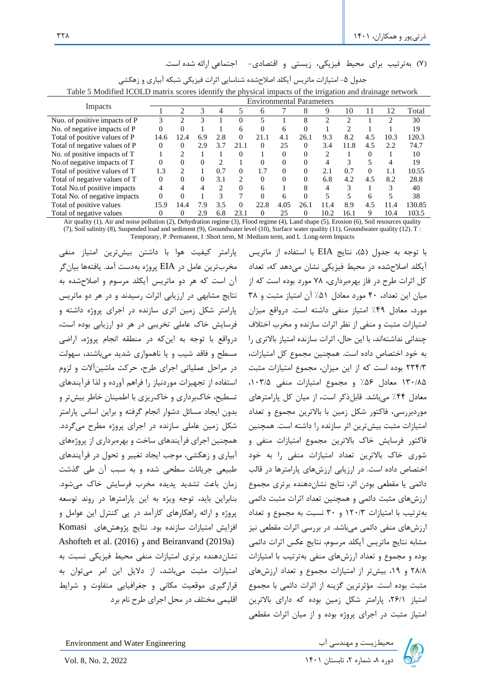)7( بهترتیب برای محیط فیزیکی، زیستی و اقتصادی- اجتماعی ارائه شده است.

|                               |          |                |     |                               |                             |          |      | <b>Environmental Parameters</b> | - 0  |      |          |      |        |
|-------------------------------|----------|----------------|-----|-------------------------------|-----------------------------|----------|------|---------------------------------|------|------|----------|------|--------|
| Impacts                       |          | $\mathfrak{D}$ | 3   | 4                             |                             | 6        |      | 8                               | 9    | 10   |          | 12   | Total  |
| Nuo. of positive impacts of P |          | $\mathfrak{D}$ | 3   |                               | 0                           |          |      | 8                               | っ    | ∍    |          |      | 30     |
| No. of negative impacts of P  | 0        | 0              |     |                               | 6                           | $\Omega$ | 6    | $\Omega$                        |      |      |          |      | 19     |
| Total of positive values of P | 14.6     | 12.4           | 6.9 | 2.8                           | $\Omega$                    | 21.1     | 4.1  | 26.1                            | 9.3  | 8.2  | 4.5      | 10.3 | 120.3  |
| Total of negative values of P | $\Omega$ | 0              | 2.9 | 3.7                           | 21.1                        | $\Omega$ | 25   | $\Omega$                        | 3.4  | 11.8 | 4.5      | 2.2  | 74.7   |
| No. of positive impacts of T  |          | ↑              |     |                               | 0                           |          | 0    | $\Omega$                        | 2    |      | 0        |      | 10     |
| No.of negative impacts of T   | 0        | 0              | 0   | ∍                             |                             | 0        | 0    | $\Omega$                        | 4    | 3    |          |      | 19     |
| Total of positive values of T | 1.3      | 2              |     | 0.7                           | $\Omega$                    | 1.7      | 0    | $\Omega$                        | 2.1  | 0.7  | $\theta$ | 1.1  | 10.55  |
| Total of negative values of T | $\Omega$ | 0              | 0   | 3.1                           | $\mathcal{D}_{\mathcal{L}}$ | $\Omega$ | 0    | $\Omega$                        | 6.8  | 4.2  | 4.5      | 8.2  | 28.8   |
| Total No.of positive impacts  | 4        | 4              | 4   | $\mathfrak{D}_{\mathfrak{p}}$ | 0                           | 6        |      | 8                               | 4    | 3    |          | 3    | 40     |
| Total No. of negative impacts | 0        | $\Omega$       |     | 3                             |                             | $\Omega$ | 6    | $\Omega$                        | 5    |      | h        |      | 38     |
| Total of positive values      | 15.9     | 14.4           | 7.9 | 3.5                           | 0                           | 22.8     | 4.05 | 26.1                            | 11.4 | 8.9  | 4.5      | 11.4 | 130.85 |
| Total of negative values      | 0        | 0              | 2.9 | 6.8                           | 23.1                        | 0        | 25   | $\Omega$                        | 10.2 | 16.1 | 9        | 10.4 | 103.5  |

| جدول ۵– امتیازات ماتریس آیکلد اصلاحشده شناسایی اثرات فیزیکی شبکه آبیاری و زهکشی                           |  |
|-----------------------------------------------------------------------------------------------------------|--|
| Table 5 Modified ICOLD matrix scores identify the physical impacts of the irrigation and drainage network |  |

Air quality (1), Air and noise pollution (2), Dehydration regime (3), Flood regime (4), Land shape (5), Erosion (6), Soil resources quality (7), Soil salinity (8), Suspended load and sediment (9), Groundwater level (10), Surface water quality (11), Groundwater quality (12). T : Temporary, P :Permanent, I :Short term, M :Medium term, and L :Long-term Impacts

مخرب ترین عامل در EIA پروژه بهدست آمد. یافتهها بیانگر آن است که هر دو ماتریس آیکلد مرسوم و اصالحشده به نتایج مشابهی در ارزیابی اثرات رسیدند و در هر دو ماتریس پارامتر شکل زمین اثری سازنده در اجرای پروژه داشته و فرسایش خاک عاملی تخریبی در هر دو ارزیابی بوده است، درواقع با توجه به اینکه در منطقه انجام پروژه، اراضی مسطح و فاقد شیب و یا ناهمواری شدید میباشند ، سهولت در مراحل عملیاتی اجرای طرح، حرکت ماشینآالت و لزوم استفاده از تجهیزات موردنیاز را فراهم آورده و لذا فرآیندهای تسطیح، خاکبرداری و خاکریزی با اطمینان خاطر بیشتر و بدون ایجاد مسائل دشوار انجام گرفته و براین اساس پارامتر شکل زمین عاملی سازنده در اجرای پروژه مطرح میگردد. همچنین اجرای فرآیندهای ساخت و بهرهبرداری از پروژههای آبیاری و زهکشی، موجب ایجاد تغییر و تحول در فرآیندهای طبیعی جریانات سطحی شده و به سبب آن طی گذشت زمان باعث تشدید پدیده مخرب فرسایش خاک میشود. بنابراین باید، توجه ویژه به این پارامترها در روند توسعه پروژه و ارائه راهکارهای کارآمد در پی کنترل این عوامل و افزایش امتیازات سازنده بود. نتایج پژوهشه ای Komasi Ashofteh et al. (2016) و and Beiranvand (2019a) نشاندهنده برتری امتیازات منفی محیط فیزیکی نسبت به امتیازات مثبت میباشد، از دالیل این امر میتوان به قرارگیری موقعیت مکانی و جغرافیایی متفاوت و شرایط اقلیمی مختلف در محل اجرای طرح نام برد

با توجه به جدول (۵)، نتایج EIA با استفاده از ماتریس پارامتر کیفیت هوا با داشتن بیشترین امتیاز منفی .<br>آیکلد اصلاحشده د<sub>ر</sub> محیط فیزیکی نشان میدهد که، تعداد کل اثرات طرح در فاز بهرهبرداری، 78 مورد بوده است که از میان این تعداد، 40 مورد معادل %51 آن امتیاز مثبت و 38 مورد، معادل %49 امتیاز منفی داشته است. درواقع میزان امتیازات مثبت و منفی از نظر اثرات سازنده و مخرب اختالف چندانی نداشتهاند، با این حال، اثرات سازنده امتیاز باالتری را به خود اختصاص داده است. همچنین مجموع کل امتیازات، 234/3 بوده است که از این میزان، مجموع امتیازات مثبت 130/85 معادل %56 و مجموع امتیازات منفی ،103/5 معادل %44 میباشد. قابلذکر است، از میان کل پارامترهای موردبررسی، فاکتور شکل زمین با باالترین مجموع و تعداد امتیازات مثبت بیشترین اثر سازنده را داشته است. همچنین فاکتور فرسایش خاک باالترین مجموع امتیازات منفی و شوری خاک باالترین تعداد امتیازات منفی را به خود اختصاص داده است. در ارزیابی ارزش های پارامترها در قالب دائمی یا مقطعی بودن اثر، نتایج نشاندهنده برتری مجموع ارزش های مثبت دائمی و همچنین تعداد اثرات مثبت دائمی بهترتیب با امتیازات /3 120 و 30 نسبت به مجموع و تعداد ارزش های منفی دائمی میباشد. در بررسی اثرات مقطعی نیز مشابه نتایج ماتریس آیکلد مرسوم، نتایج عکس اثرات دائمی بوده و مجموع و تعداد ارزشهای منفی بهترتیب با امتیازات ۲۸/۸ و ۱۹، بیشتر از امتیازات مجموع و تعداد ارزشهای مثبت بوده است. مؤثرترین گزینه از اثرات دائمی با مجموع امتیاز ،26/1 پارامتر شکل زمین بوده که دارای باالترین امتیاز مثبت در اجرای پروژه بوده و از میان اثرات مقطعی

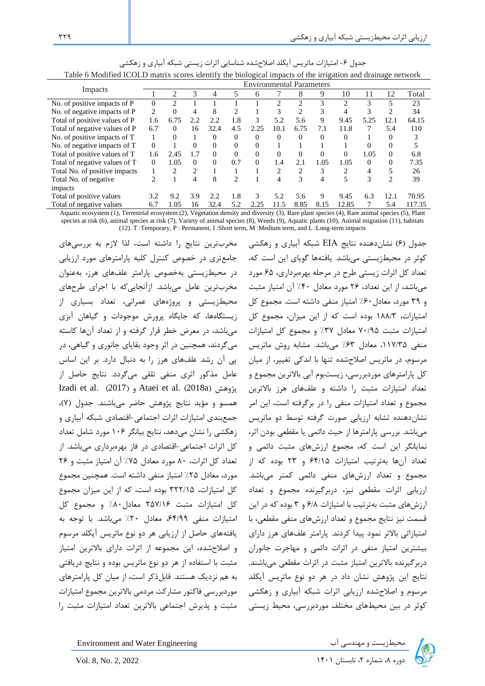|                               |                |                |                |          |                |                                 |                |                |          | migunon unu munuge neem |          |          |        |
|-------------------------------|----------------|----------------|----------------|----------|----------------|---------------------------------|----------------|----------------|----------|-------------------------|----------|----------|--------|
|                               |                |                |                |          |                | <b>Environmental Parameters</b> |                |                |          |                         |          |          |        |
| Impacts                       |                | $\overline{c}$ | 3              | 4        | 5              | 6                               |                | 8              | 9        | 10                      | 11       | 12       | Total  |
| No. of positive impacts of P  | $\Omega$       | $\mathfrak{D}$ |                |          |                |                                 | $\mathcal{D}$  | $\mathfrak{D}$ | 3        | $\overline{c}$          | 3        | 5        | 23     |
| No. of negative impacts of P  | 2              | $\overline{0}$ | 4              | 8        | 2              |                                 |                | 2              | 3        | 4                       | 3        |          | 34     |
| Total of positive values of P | 1.6            | 6.75           | 2.2            | 2.2      | 1.8            | 3                               | 5.2            | 5.6            | 9        | 9.45                    | 5.25     | 12.1     | 64.15  |
| Total of negative values of P | 6.7            | $\Omega$       | 16             | 32.4     | 4.5            | 2.25                            | 10.1           | 6.75           | 7.1      | 11.8                    |          | 5.4      | 110    |
| No. of positive impacts of T  |                | 0              |                | $\Omega$ | $\Omega$       | $\Omega$                        | $\Omega$       | 0              | 0        | 0                       |          | $\Omega$ |        |
| No. of negative impacts of T  | $\Omega$       |                | $\Omega$       | $\Omega$ | $\Omega$       | $\Omega$                        |                |                |          |                         | $\Omega$ | $\Omega$ |        |
| Total of positive values of T | 1.6            | 2.45           | 1.7            | $\Omega$ | $\Omega$       | $\Omega$                        | 0              | 0              | $\Omega$ | $\Omega$                | 1.05     | $\Omega$ | 6.8    |
| Total of negative values of T | $\Omega$       | 1.05           | $\Omega$       | $\Omega$ | 0.7            | $\Omega$                        | 1.4            | 2.1            | 1.05     | 1.05                    | $\Omega$ | $\Omega$ | 7.35   |
| Total No. of positive impacts |                | 2              | $\overline{c}$ |          |                |                                 | $\mathfrak{D}$ | 2              | 3        | 2                       | 4        | 5        | 26     |
| Total No. of negative         | $\overline{c}$ |                | 4              | 8        | $\overline{c}$ |                                 | 4              | 3              | 4        | 5                       | 3        | 2        | 39     |
| impacts                       |                |                |                |          |                |                                 |                |                |          |                         |          |          |        |
| Total of positive values      | 3.2            | 9.2            | 3.9            | 2.2      | 1.8            | 3                               | 5.2            | 5.6            | 9        | 9.45                    | 6.3      | 12.1     | 70.95  |
| Total of negative values      | 6.7            | 1.05           | 16             | 32.4     | 5.2            | 2.25                            | 11.5           | 8.85           | 8.15     | 12.85                   |          | 5.4      | 117.35 |

| جدول ۶- امتیازات ماتریس ایکلد اصلاحشده شناسایی اثرات زیستی شبکه ابیاری و زهکشی                              |  |  |
|-------------------------------------------------------------------------------------------------------------|--|--|
| Table 6 Modified ICOLD matrix scores identify the biological impacts of the irrigation and drainage network |  |  |

Aquatic ecosystem (1), Terrestrial ecosystem (2), Vegetation density and diversity (3), Rare plant species (4), Rare animal species (5), Plant species at risk (6), animal species at risk (7), Variety of animal species (8), Weeds (9), Aquatic plants (10), Animal migration (11), habitats (12). T :Temporary, P : Permanent, I :Short term, M :Medium term, and L :Long-term impacts

مخرب ترین نتایج را داشته است، لذا الزم به بررسیهای جامعتری در خصوص کنترل کلیه پارامترهای مورد ارزیابی در محیطزیستی به خصوص پارامتر علفهای هرز، بهعنوان مخرب ترین عامل میباشد. ازآنجاییکه با اجرای طرح های محیطزیستی و پروژههای عمرانی، تعداد بسیاری از زیستگاهها، که جایگاه پرورش موجودات و گیاهان آبزی میباشد، در معرض خطر قرار گر فته و از تعداد آنها کاسته میگردند، همچنین در اثر وجود بقایای جانوری و گیاهی، در پی آن رشد علفهای هرز را به دنبال دارد. بر این اساس عامل مذکور اثری منفی تلقی میگردد. نتایج حاصل از Izadi et al. (2017) , Ataei et al. (2018a) همسو و مؤید نتایج پژوهش حاضر میباشند. جدول )7( ، جمع بندی امتیازات اثرات اجتماعی-اقتصادی شبکه آبیاری و زهکشی را نشان میدهد، نتایج بیانگر 106 مورد شامل تعداد کل اثرات اجتماعی-اقتصادی در فاز بهرهبرداری میباشد. از تعداد کل اثرات، 80 مورد معادل %75 آن امتیاز مثبت و 26 مورد، معادل %25 امتیاز منفی داشته است. همچنین مجموع کل امتیازات، 322/15 بوده است، که از این میزان مجموع کل امتیازات مثبت 257/16 معادل ٨٠٪ و مجموع کل امتیازات منفی ،64/99 معادل %20 میباشد. با توجه به یافتههای حاصل از ارزیابی هر دو نوع ماتریس آیکلد مرسوم و اصالحشده، این مجموعه از اثرات دارای باالترین امتیاز مثبت با استفاده از هر دو نوع ماتریس بوده و نتایج دریافتی به هم نزدیک هستند. قابلذکر است، از میان کل پارامترهای موردبررسی فاکتور مشارکت مردمی باالترین مجموع امتیازات مثبت و پذیرش اجتماعی باالترین تعداد امتیازات مثبت را

جدول )6( نشاندهنده نتایج EIA شبکه آبیاری و زهکشی کوثر در محیط زیستی میباشد. یافتهها گویای این است که، تعداد کل اثرات زیستی طرح در مرحله بهرهبرداری، ۶۵ مورد میباشد، از این تعداد، 26 مورد معادل %40 آن امتیاز مثبت و 39 مورد، معادل%60 امتیاز منفی داشته است. مجموع کل امتیازات، 188/3 بوده است که از این میزان، مجموع کل امتیازات مثبت 70/95 معادل %37 و مجموع کل امتیازات منفی ،117/35 معادل %63 میباشد. مشابه روش ماتریس مرسوم، در ماتریس اصلاحشده تنها با اندکی تغییر، از میان کل پارامترهای موردبررسی، زیستبوم آبی باالترین مجموع و تعداد امتیازات مثبت را داشته و علفهای هرز باالترین مجموع و تعداد امتیازات منفی را در برگرفته است، این امر نشاندهنده تشابه ارزیابی صورت گرفته توسط دو ماتریس میباشد. بررسی پارامترها از حیث دائمی یا مقطعی بودن اثر، نمایانگر این است که، مجموع ارزش های مثبت دائمی و تعداد آنها بهترتیب امتیازات 64/15 و 23 بوده که از مجموع و تعداد ارزش های منفی دائمی کمتر میباشد. ارزیابی اثرات مقطعی نیز، دربرگیرنده مجموع و تعداد ارزش های مثبت بهترتیب با امتیازات 6/8 و 3 بوده که در این قسمت نیز نتایج مجموع و تعداد ارزش های منفی مقطعی، با امتیازاتی باالتر نمود پیدا کردند. پارامتر علفهای هرز دارای بیشترین امتیاز منفی در اثرات دائمی و مهاجرت جانوران دربرگیرنده باالترین امتیاز مثبت در اثرات مقطعی میباشند. نتایج این پژوهش نشان داد در هر دو نوع ماتریس آیکلد مرسوم و اصالحشده ارزیابی اثرات شبکه آبیاری و زهکشی کوثر در بین محیط های مختلف موردبررسی، محیط زیستی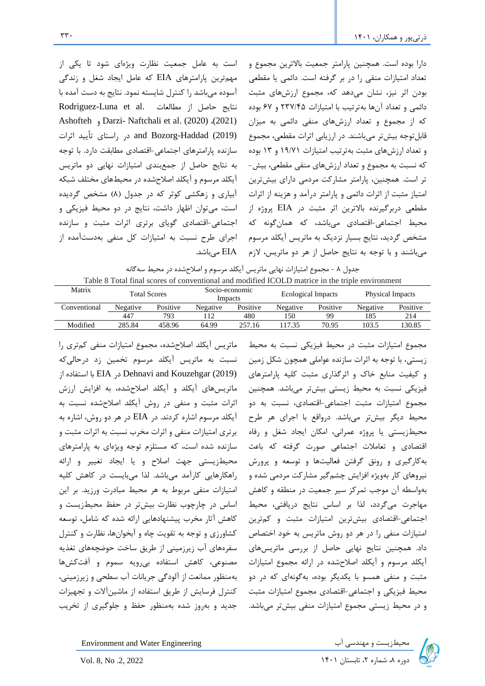است به عامل جمعیت نظارت ویژهای شود تا یکی از مهمترین پارامترهای EIA که عامل ایجاد شغل و زندگی آسوده میباشد را کنترل شایسته نمود. نتایج به دست آمده با Rodriguez-Luna et al. نتایج حاصل از مطالعات Ashofteh و Darzi- Naftchali et al. (2020) ،(2021) (2019) Haddad-Bozorg and در راستای تأیید اثرات سازنده پارامترهای اجتماعی -اقتصادی مطابقت دارد.با توجه به نتایج حاصل از جمعبندی امتیازات نهایی دو ماتریس آیکلد مرسوم و آیکلد اصالحشده در محیطهای مختلف شبکه آبیاری و زهکشی کوثر که در جدول (۸) مشخص گردیده است، میتوان اظهار داشت، نتایج در دو محیط فیزیکی و اجتماعی-اقتصادی گویای برتری اثرات مثبت و سازنده اجرای طرح نسبت به امتیازات کل منفی بهدستآمده از EIA میباشد.

دارا بوده است. همچنین پارامتر جمعیت باالترین مجموع و تعداد امتیازات منفی را در بر گرفته است. دائمی یا مقطعی بودن اثر نیز، نشان میدهد که، مجموع ارزش های مثبت دائمی و تعداد آنها بهترتیب با امتیازات 237/45 و 67 بوده که از مجموع و تعداد ارزشهای منفی دائمی به میزان قابلتوجه بیشتر میباشند. در ارزیابی اثرات مقطعی، مجموع و تعداد ارزشهای مثبت بهترتیب امتیازات 19/71 و 13 بوده که نسبت به مجموع و تعداد ارزشهای منفی مقطعی، بیش- تر است. همچنین، پارامتر مشارکت مردمی دارای بیشترین امتیاز مثبت از اثرات دائمی و پارامتر درآمد و هزینه از اثرات مقطعی دربرگیرنده باالترین اثر مثبت در EIA پروژه از محیط اجتماعی-اقتصادیمیباشد، که همانگونه که مشخص گردید، نتایج بسیار نزدیک به ماتریس آیکلد مرسوم میباشند و با توجه به نتایج حاصل از هر دو ماتریس، الزم

| جدول ٨ - مجموع امتيازات نهايي ماتريس أيكلد مرسوم و اصلاحشده در محيط سه گانه                     |  |
|-------------------------------------------------------------------------------------------------|--|
| Table 8 Total final scores of conventional and modified ICOLD matrice in the triple environment |  |

| Matrix       | <b>Total Scores</b> |          | Socio-economic<br>Impacts |          | Ecological Impacts |          | <b>Physical Impacts</b> |          |
|--------------|---------------------|----------|---------------------------|----------|--------------------|----------|-------------------------|----------|
| Conventional | Negative            | Positive | Negative                  | Positive | Negative           | Positive | Negative                | Positive |
|              | 447                 | 793      | 12                        | 480      | 150                | qq       | 185                     | 214      |
| Modified     | 285.84              | 458.96   | 64.99                     | 257.16   | 17.35              | 70.95    | 103.5                   | 130.85   |

ماتریس آیکلد اصالحشده ، مجموع امتیازات منفی کمتری را نسبت به ماتریس آیکلد مرسوم تخمین زد درحالیکه (2019) Kouzehgar and Dehnavi در EIA با استفاده از ماتریسهای آیکلد و آیکلد اصالحشده، به افزایش ارزش اثرات مثبت و منفی در روش آیکلد اصالحشده نسبت به آیکلد مرسوم اشاره کردند. در EIA در هر دو روش، اشاره به برتری امتیازات منفی و اثرات مخرب نسبت به اثرات مثبت و سازنده شده است، که مستلزم توجه ویژه ای به پارامترهای محیطزیستی جهت اصالح و یا ایجاد تغییر و ارائه راهکارهایی کارآمد میباشد. لذا میبایست در کاهش کلیه امتیازات منفی مربوط به هر محیط مبادرت ورزید. بر این اساس در چارچوب نظارت بیشتر در حفظ محیطزیست و کاهش آثار مخرب پیشنهادهایی ارائه شده که شامل، توسعه کشاورزی و توجه به تقویت چاه و آبخوان ها، نظارت و کنترل سفرههای آب زیرزمینی از طریق ساخت حوضچه های تغذیه مصنوعی، کاهش استفاده بیرویه سموم و آفت کشها بهمنظور ممانعت از آلودگی جریانات آب سطحی و زیرزمینی، کنترل فرسایش از طریق استفاده از ماشینآالت و تجهیزات جدید و بهروز شده بهمنظور حفظ و جلوگیری از تخریب

مجموع امتیازات مثبت در محیط فیزیکی نسبت به محیط زیستی، با توجه به اثرات سازنده عواملی همچون شکل زمین و کیفیت منابع خاک و اثرگذاری مثبت کلیه پارامترهای فیزیکی نسبت به محیط زیستی بیشتر میباشد. همچنین مجموع امتیازات مثبت اجتماعی-اقتصادی، نسبت به دو محیط دیگر بیشتر میباشد. درواقع با اجرای هر طرح محیطزیستی یا پروژه عمرانی، امکان ایجاد شغل و رفاه اقتصادی و تعامالت اجتماعی صورت گرفته که باعث بهکارگیری و رونق گرفتن فعالیتها و توسعه و پرورش نیروهای کار بهویژه افزایش چشمگیر مشارکت مردمی شده و بهواسطه آن موجب تمرکز سیر جمعیت در منطقه و کاهش مهاجرت میگردد، لذا بر اساس نتایج دریافتی، محیط اجتماعی-اقتصادی بیشترین امتیازات مثبت و کمترین امتیازات منفی را در هر دو روش ماتریس به خود اختصاص داد. همچنین نتایج نهایی حاصل از بررسی ماتریسهای آیکلد مرسوم و آیکلد اصالحشده در ارائه مجموع امتیازات مثبت و منفی همسو با یکدیگر بوده، بهگونهای که در دو محیط فیزیکی و اجتماعی-اقتصادی مجموع امتیازات مثبت و در محیط زیستی مجموع امتیازات منفی بیشتر میباشد .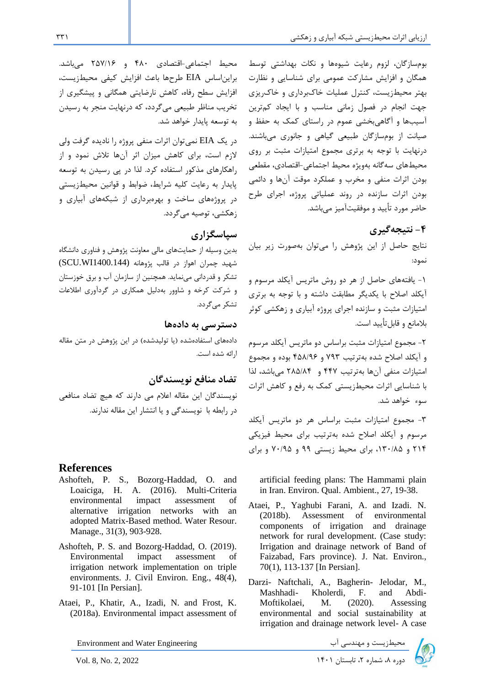بومسازگان، لزوم رعایت شیوهها و نکات بهداشتی توسط همگان و افزایش مشارکت عمومی برای شناسایی و نظارت بهتر محیط زیست، کنترل عملیات خاکبرداری و خاکریزی جهت انجام در فصول زمانی مناسب و با ایجاد کمترین آسیب ها و آگاهیبخشی عموم در راستای کمک به حفظ و صیانت از بومسازگان طبیعی گیاهی و جانوری میباشند. درنهایت با توجه به برتری مجموع امتیازات مثبت بر روی محیطهای سهگانه بهویژه محیط اجتماعی-اقتصادی، مقطعی بودن اثرات منفی و مخرب و عملکرد موقت آنها و دائمی بودن اثرات سازنده در روند عملیاتی پروژه، اجرای طرح حاضر مورد تأیید و موفقیتآمیز میباشد.

# **-4 نتیجه گیری**

نتایج حاصل از این پژوهش را میتوان بهصورت زیر بیان نمود:

-1 یافتههای حاصل از هر دو روش ماتریس آیکلد مرسوم و آیکلد اصالح با یکدیگر مطابقت داشته و با توجه به برتری امتیازات مثبت و سازنده اجرای پروژه آبیاری و زهکشی کوثر بلامانع و قابل تأیید است.

-2 مجموع امتیازات مثبت براساس دو ماتریس آیکلد مرسوم و آیکلد اصالح شده بهترتیب 793 و 458/96 بوده و مجموع امتیازات منفی آن ها بهترتیب 447 و 285/84 میباشد، لذا با شناسایی اثرات محیطزیستی کمک به رفع و کاهش اثرات سوء خواهد شد.

-3 مجموع امتیازات مثبت براساس هر دو ماتریس آیکلد مرسوم و آیکلد اصالح شده بهترتیب برای محیط فیزیکی 214 و ،130/85 برای محیط زیستی 99 و 70/95 و برای

artificial feeding plans: The Hammami plain in Iran. Environ. Qual. Ambient., 27, 19-38.

- Ataei, P., Yaghubi Farani, A. and Izadi. N. (2018b). Assessment of environmental components of irrigation and drainage network for rural development. (Case study: Irrigation and drainage network of Band of Faizabad, Fars province). J. Nat. Environ., 70(1), 113-137 [In Persian].
- Darzi- Naftchali, A., Bagherin- Jelodar, M., Mashhadi- Kholerdi, F. and Abdi-Moftikolaei, M. (2020). Assessing environmental and social sustainability at irrigation and drainage network level- A case



محیط اجتماعی-اقتصادی 480 و 257/16 میباشد. برایناساس EIA طرحها باعث افزایش کیفی محیطزیست، افزایش سطح رفاه، کاهش نارضایتی همگانی و پیشگیری از تخریب مناظر طبیعی میگردد، که درنهایت منجر به رسیدن به توسعه پایدار خواهد شد.

در یک EIA نمیتوان اثرات منفی پروژه را نادیده گرفت ولی الزم است، برای کاهش میزان اثر آنها تالش نمود و از راهکارهای مذکور استفاده کرد. لذا در پی رسیدن به توسعه پایدار به رعایت کلیه شرایط، ضوابط و قوانین محیطزیستی در پروژههای ساخت و بهرهبرداری از شبکه های آبیاری و زهکشی، توصیه میگردد.

# **سپاسگزاری**

بدین وسیله از حمایت های مالی معاونت پژوهش و فناوری دانشگاه شهید چمران اهواز در قالب پژوهانه (1400.144WI.SCU ( تشکر و قدردانی می نماید. همچنین از سازمان آب و برق خوزستان و شرکت کرخه و شاوور به دلیل همکاری در گردآوری اطالعات تشکر می گردد.

### **دسترسی به داده ها**

دادههای استفادهشده (یا تولیدشده) در این پژوهش در متن مقاله ارائه شده است.

**تضاد منافع نویسندگان** 

نویسندگان این مقاله اعالم می دارند که هیچ تضاد منافعی در رابطه با نویسندگی و یا انتشار این مقاله ندارند .

# **References**

- Ashofteh, P. S., Bozorg-Haddad, O. and Loaiciga, H. A. (2016). Multi-Criteria environmental impact assessment of alternative irrigation networks with an adopted Matrix-Based method. Water Resour. Manage., 31(3), 903-928.
- Ashofteh, P. S. and Bozorg-Haddad, O. (2019). Environmental impact assessment of irrigation network implementation on triple environments. J. Civil Environ. Eng., 48(4), 91-101 [In Persian].
- Ataei, P., Khatir, A., Izadi, N. and Frost, K. (2018a). Environmental impact assessment of

Environment and Water Engineering دوره به هماریست و مهندسی آب سیستان در این استان ۱۴۰۱ تابستان ۷۵۱ Invironment and Water Engineering<br>استان ۱۴۰۱ تابستان ۱۴۰۱ I۴۰۱ تابستان ۱۴۰۱ I۴۰۱ استان ۱۴۰۱ Investor توره ۸، شماره ۲، تابستان ۱۴۰۱ I۴۰۱ تابستان